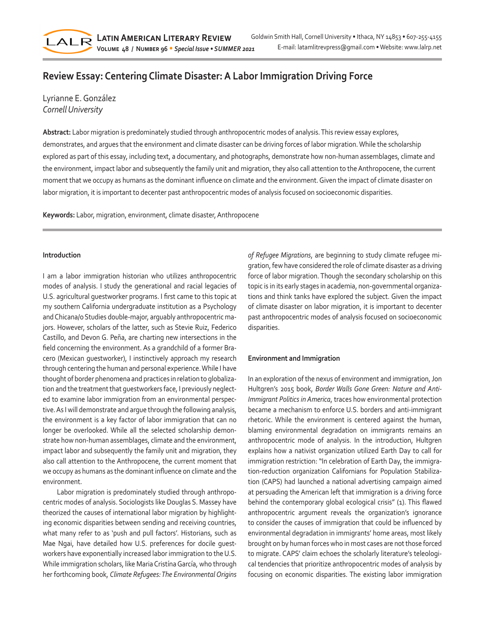# **Review Essay: Centering Climate Disaster: A Labor Immigration Driving Force**

Lyrianne E. González *Cornell University*

LALR

**Abstract:** Labor migration is predominately studied through anthropocentric modes of analysis. This review essay explores, demonstrates, and argues that the environment and climate disaster can be driving forces of labor migration. While the scholarship explored as part of this essay, including text, a documentary, and photographs, demonstrate how non-human assemblages, climate and the environment, impact labor and subsequently the family unit and migration, they also call attention to the Anthropocene, the current moment that we occupy as humans as the dominant influence on climate and the environment. Given the impact of climate disaster on labor migration, it is important to decenter past anthropocentric modes of analysis focused on socioeconomic disparities.

**Keywords:** Labor, migration, environment, climate disaster, Anthropocene

### **Introduction**

I am a labor immigration historian who utilizes anthropocentric modes of analysis. I study the generational and racial legacies of U.S. agricultural guestworker programs. I first came to this topic at my southern California undergraduate institution as a Psychology and Chicana/o Studies double-major, arguably anthropocentric majors. However, scholars of the latter, such as Stevie Ruiz, Federico Castillo, and Devon G. Peña, are charting new intersections in the field concerning the environment. As a grandchild of a former Bracero (Mexican guestworker), I instinctively approach my research through centering the human and personal experience. While I have thought of border phenomena and practices in relation to globalization and the treatment that guestworkers face, I previously neglected to examine labor immigration from an environmental perspective. As I will demonstrate and argue through the following analysis, the environment is a key factor of labor immigration that can no longer be overlooked. While all the selected scholarship demonstrate how non-human assemblages, climate and the environment, impact labor and subsequently the family unit and migration, they also call attention to the Anthropocene, the current moment that we occupy as humans as the dominant influence on climate and the environment.

Labor migration is predominately studied through anthropocentric modes of analysis. Sociologists like Douglas S. Massey have theorized the causes of international labor migration by highlighting economic disparities between sending and receiving countries, what many refer to as 'push and pull factors'. Historians, such as Mae Ngai, have detailed how U.S. preferences for docile guestworkers have exponentially increased labor immigration to the U.S. While immigration scholars, like Maria Cristína García, who through her forthcoming book, *Climate Refugees: The Environmental Origins* 

*of Refugee Migrations*, are beginning to study climate refugee migration, few have considered the role of climate disaster as a driving force of labor migration. Though the secondary scholarship on this topic is in its early stages in academia, non-governmental organizations and think tanks have explored the subject. Given the impact of climate disaster on labor migration, it is important to decenter past anthropocentric modes of analysis focused on socioeconomic disparities.

#### **Environment and Immigration**

In an exploration of the nexus of environment and immigration, Jon Hultgren's 2015 book, *Border Walls Gone Green: Nature and Anti-Immigrant Politics in America*, traces how environmental protection became a mechanism to enforce U.S. borders and anti-immigrant rhetoric. While the environment is centered against the human, blaming environmental degradation on immigrants remains an anthropocentric mode of analysis. In the introduction, Hultgren explains how a nativist organization utilized Earth Day to call for immigration restriction: "In celebration of Earth Day, the immigration-reduction organization Californians for Population Stabilization (CAPS) had launched a national advertising campaign aimed at persuading the American left that immigration is a driving force behind the contemporary global ecological crisis" (1). This flawed anthropocentric argument reveals the organization's ignorance to consider the causes of immigration that could be influenced by environmental degradation in immigrants' home areas, most likely brought on by human forces who in most cases are not those forced to migrate. CAPS' claim echoes the scholarly literature's teleological tendencies that prioritize anthropocentric modes of analysis by focusing on economic disparities. The existing labor immigration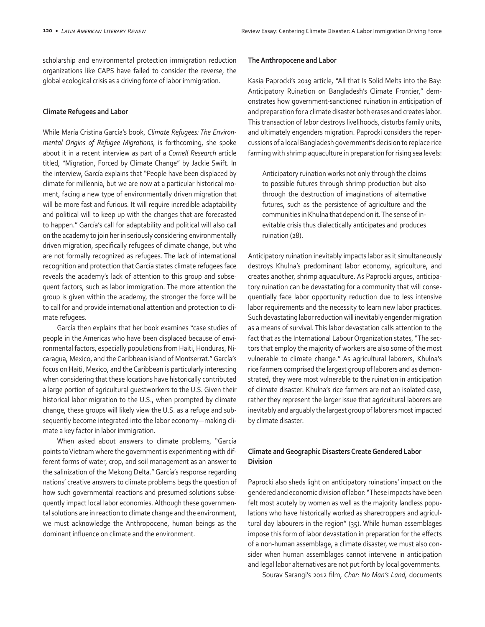scholarship and environmental protection immigration reduction organizations like CAPS have failed to consider the reverse, the global ecological crisis as a driving force of labor immigration.

#### **Climate Refugees and Labor**

While María Cristina García's book, *Climate Refugees: The Environmental Origins of Refugee Migrations*, is forthcoming, she spoke about it in a recent interview as part of a *Cornell Research* article titled, "Migration, Forced by Climate Change" by Jackie Swift. In the interview, García explains that "People have been displaced by climate for millennia, but we are now at a particular historical moment, facing a new type of environmentally driven migration that will be more fast and furious. It will require incredible adaptability and political will to keep up with the changes that are forecasted to happen." García's call for adaptability and political will also call on the academy to join her in seriously considering environmentally driven migration, specifically refugees of climate change, but who are not formally recognized as refugees. The lack of international recognition and protection that García states climate refugees face reveals the academy's lack of attention to this group and subsequent factors, such as labor immigration. The more attention the group is given within the academy, the stronger the force will be to call for and provide international attention and protection to climate refugees.

García then explains that her book examines "case studies of people in the Americas who have been displaced because of environmental factors, especially populations from Haiti, Honduras, Nicaragua, Mexico, and the Caribbean island of Montserrat." García's focus on Haiti, Mexico, and the Caribbean is particularly interesting when considering that these locations have historically contributed a large portion of agricultural guestworkers to the U.S. Given their historical labor migration to the U.S., when prompted by climate change, these groups will likely view the U.S. as a refuge and subsequently become integrated into the labor economy—making climate a key factor in labor immigration.

When asked about answers to climate problems, "García points to Vietnam where the government is experimenting with different forms of water, crop, and soil management as an answer to the salinization of the Mekong Delta." García's response regarding nations' creative answers to climate problems begs the question of how such governmental reactions and presumed solutions subsequently impact local labor economies. Although these governmental solutions are in reaction to climate change and the environment, we must acknowledge the Anthropocene, human beings as the dominant influence on climate and the environment.

#### **The Anthropocene and Labor**

Kasia Paprocki's 2019 article, "All that Is Solid Melts into the Bay: Anticipatory Ruination on Bangladesh's Climate Frontier," demonstrates how government-sanctioned ruination in anticipation of and preparation for a climate disaster both erases and creates labor. This transaction of labor destroys livelihoods, disturbs family units, and ultimately engenders migration. Paprocki considers the repercussions of a local Bangladesh government's decision to replace rice farming with shrimp aquaculture in preparation for rising sea levels:

Anticipatory ruination works not only through the claims to possible futures through shrimp production but also through the destruction of imaginations of alternative futures, such as the persistence of agriculture and the communities in Khulna that depend on it. The sense of inevitable crisis thus dialectically anticipates and produces ruination (28).

Anticipatory ruination inevitably impacts labor as it simultaneously destroys Khulna's predominant labor economy, agriculture, and creates another, shrimp aquaculture. As Paprocki argues, anticipatory ruination can be devastating for a community that will consequentially face labor opportunity reduction due to less intensive labor requirements and the necessity to learn new labor practices. Such devastating labor reduction will inevitably engender migration as a means of survival. This labor devastation calls attention to the fact that as the International Labour Organization states, "The sectors that employ the majority of workers are also some of the most vulnerable to climate change." As agricultural laborers, Khulna's rice farmers comprised the largest group of laborers and as demonstrated, they were most vulnerable to the ruination in anticipation of climate disaster. Khulna's rice farmers are not an isolated case, rather they represent the larger issue that agricultural laborers are inevitably and arguably the largest group of laborers most impacted by climate disaster.

## **Climate and Geographic Disasters Create Gendered Labor Division**

Paprocki also sheds light on anticipatory ruinations' impact on the gendered and economic division of labor: "These impacts have been felt most acutely by women as well as the majority landless populations who have historically worked as sharecroppers and agricultural day labourers in the region" (35). While human assemblages impose this form of labor devastation in preparation for the effects of a non-human assemblage, a climate disaster, we must also consider when human assemblages cannot intervene in anticipation and legal labor alternatives are not put forth by local governments.

Sourav Sarangi's 2012 film, *Char: No Man's Land,* documents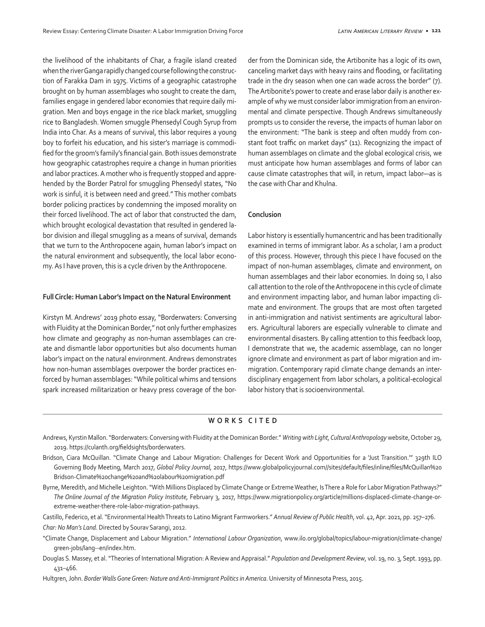the livelihood of the inhabitants of Char, a fragile island created when the river Ganga rapidly changed course following the construction of Farakka Dam in 1975. Victims of a geographic catastrophe brought on by human assemblages who sought to create the dam, families engage in gendered labor economies that require daily migration. Men and boys engage in the rice black market, smuggling rice to Bangladesh. Women smuggle Phensedyl Cough Syrup from India into Char. As a means of survival, this labor requires a young boy to forfeit his education, and his sister's marriage is commodified for the groom's family's financial gain. Both issues demonstrate how geographic catastrophes require a change in human priorities and labor practices. A mother who is frequently stopped and apprehended by the Border Patrol for smuggling Phensedyl states, "No work is sinful, it is between need and greed." This mother combats border policing practices by condemning the imposed morality on their forced livelihood. The act of labor that constructed the dam, which brought ecological devastation that resulted in gendered labor division and illegal smuggling as a means of survival, demands that we turn to the Anthropocene again, human labor's impact on the natural environment and subsequently, the local labor economy. As I have proven, this is a cycle driven by the Anthropocene.

#### **Full Circle: Human Labor's Impact on the Natural Environment**

Kirstyn M. Andrews' 2019 photo essay, "Borderwaters: Conversing with Fluidity at the Dominican Border," not only further emphasizes how climate and geography as non-human assemblages can create and dismantle labor opportunities but also documents human labor's impact on the natural environment. Andrews demonstrates how non-human assemblages overpower the border practices enforced by human assemblages: "While political whims and tensions spark increased militarization or heavy press coverage of the border from the Dominican side, the Artibonite has a logic of its own, canceling market days with heavy rains and flooding, or facilitating trade in the dry season when one can wade across the border" (7). The Artibonite's power to create and erase labor daily is another example of why we must consider labor immigration from an environmental and climate perspective. Though Andrews simultaneously prompts us to consider the reverse, the impacts of human labor on the environment: "The bank is steep and often muddy from constant foot traffic on market days" (11). Recognizing the impact of human assemblages on climate and the global ecological crisis, we must anticipate how human assemblages and forms of labor can cause climate catastrophes that will, in return, impact labor—as is the case with Char and Khulna.

#### **Conclusion**

Labor history is essentially humancentric and has been traditionally examined in terms of immigrant labor. As a scholar, I am a product of this process. However, through this piece I have focused on the impact of non-human assemblages, climate and environment, on human assemblages and their labor economies. In doing so, I also call attention to the role of the Anthropocene in this cycle of climate and environment impacting labor, and human labor impacting climate and environment. The groups that are most often targeted in anti-immigration and nativist sentiments are agricultural laborers. Agricultural laborers are especially vulnerable to climate and environmental disasters. By calling attention to this feedback loop, I demonstrate that we, the academic assemblage, can no longer ignore climate and environment as part of labor migration and immigration. Contemporary rapid climate change demands an interdisciplinary engagement from labor scholars, a political-ecological labor history that is socioenvironmental.

#### **WORKS CITED**

- Andrews, Kyrstin Mallon. "Borderwaters: Conversing with Fluidity at the Dominican Border." *Writing with Light, Cultural Anthropology* website, October 29, 2019. https://culanth.org/fieldsights/borderwaters.
- Bridson, Ciara McQuillan. "Climate Change and Labour Migration: Challenges for Decent Work and Opportunities for a 'Just Transition."" 329th ILO Governing Body Meeting, March 2017, *Global Policy Journal*, 2017, https://www.globalpolicyjournal.com//sites/default/files/inline/files/McQuillan%20 Bridson-Climate%20change%20and%20labour%20migration.pdf
- Byrne, Meredith, and Michelle Leighton. "With Millions Displaced by Climate Change or Extreme Weather, Is There a Role for Labor Migration Pathways?" *The Online Journal of the Migration Policy Institute*, February 3, 2017, https://www.migrationpolicy.org/article/millions-displaced-climate-change-orextreme-weather-there-role-labor-migration-pathways.
- Castillo, Federico, et al. "Environmental Health Threats to Latino Migrant Farmworkers." *Annual Review of Public Health*, vol. 42, Apr. 2021, pp. 257–276.
- *Char: No Man's Land*. Directed by Sourav Sarangi, 2012.
- "Climate Change, Displacement and Labour Migration." *International Labour Organization*, www.ilo.org/global/topics/labour-migration/climate-change/ green-jobs/lang--en/index.htm.
- Douglas S. Massey, et al. "Theories of International Migration: A Review and Appraisal." *Population and Development Review*, vol. 19, no. 3, Sept. 1993, pp. 431–466.
- Hultgren, John. *Border Walls Gone Green: Nature and Anti-Immigrant Politics in America*. University of Minnesota Press, 2015.